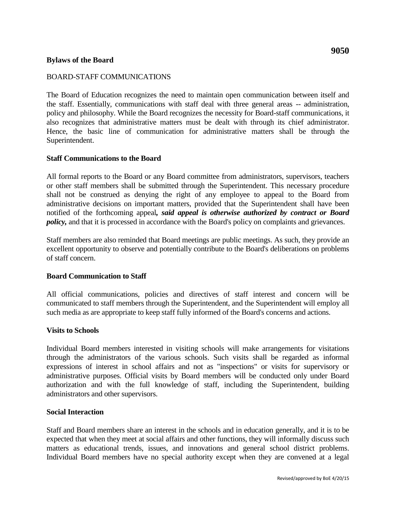# **Bylaws of the Board**

# BOARD-STAFF COMMUNICATIONS

The Board of Education recognizes the need to maintain open communication between itself and the staff. Essentially, communications with staff deal with three general areas -- administration, policy and philosophy. While the Board recognizes the necessity for Board-staff communications, it also recognizes that administrative matters must be dealt with through its chief administrator. Hence, the basic line of communication for administrative matters shall be through the Superintendent.

### **Staff Communications to the Board**

All formal reports to the Board or any Board committee from administrators, supervisors, teachers or other staff members shall be submitted through the Superintendent. This necessary procedure shall not be construed as denying the right of any employee to appeal to the Board from administrative decisions on important matters, provided that the Superintendent shall have been notified of the forthcoming appeal*, said appeal is otherwise authorized by contract or Board policy*, and that it is processed in accordance with the Board's policy on complaints and grievances.

Staff members are also reminded that Board meetings are public meetings. As such, they provide an excellent opportunity to observe and potentially contribute to the Board's deliberations on problems of staff concern.

#### **Board Communication to Staff**

All official communications, policies and directives of staff interest and concern will be communicated to staff members through the Superintendent, and the Superintendent will employ all such media as are appropriate to keep staff fully informed of the Board's concerns and actions.

### **Visits to Schools**

Individual Board members interested in visiting schools will make arrangements for visitations through the administrators of the various schools. Such visits shall be regarded as informal expressions of interest in school affairs and not as "inspections" or visits for supervisory or administrative purposes. Official visits by Board members will be conducted only under Board authorization and with the full knowledge of staff, including the Superintendent, building administrators and other supervisors.

#### **Social Interaction**

Staff and Board members share an interest in the schools and in education generally, and it is to be expected that when they meet at social affairs and other functions, they will informally discuss such matters as educational trends, issues, and innovations and general school district problems. Individual Board members have no special authority except when they are convened at a legal